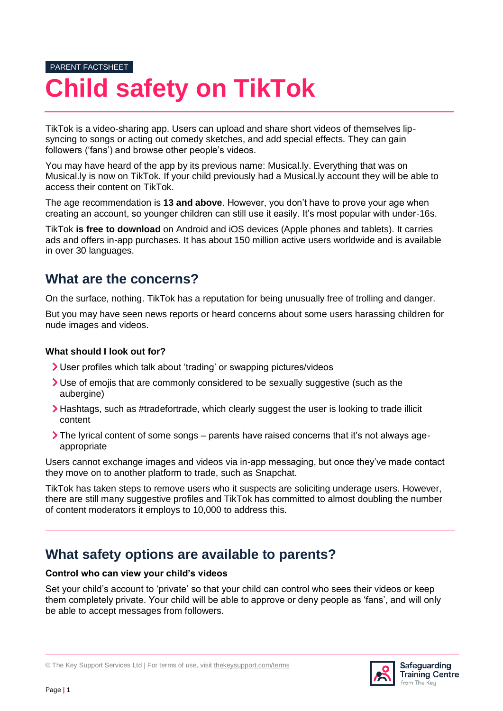# PARENT FACTSHEET **Child safety on TikTok**

TikTok is a video-sharing app. Users can upload and share short videos of themselves lipsyncing to songs or acting out comedy sketches, and add special effects. They can gain followers ('fans') and browse other people's videos.

You may have heard of the app by its previous name: Musical.ly. Everything that was on Musical.ly is now on TikTok. If your child previously had a Musical.ly account they will be able to access their content on TikTok.

The age recommendation is **13 and above**. However, you don't have to prove your age when creating an account, so younger children can still use it easily. It's most popular with under-16s.

TikTok **is free to download** on Android and iOS devices (Apple phones and tablets). It carries ads and offers in-app purchases. It has about 150 million active users worldwide and is available in over 30 languages.

# **What are the concerns?**

On the surface, nothing. TikTok has a reputation for being unusually free of trolling and danger.

But you may have seen news reports or heard concerns about some users harassing children for nude images and videos.

# **What should I look out for?**

- User profiles which talk about 'trading' or swapping pictures/videos
- Use of emojis that are commonly considered to be sexually suggestive (such as the aubergine)
- Hashtags, such as #tradefortrade, which clearly suggest the user is looking to trade illicit content
- $\sum$  The Ivrical content of some songs parents have raised concerns that it's not always ageappropriate

Users cannot exchange images and videos via in-app messaging, but once they've made contact they move on to another platform to trade, such as Snapchat.

TikTok has taken steps to remove users who it suspects are soliciting underage users. However, there are still many suggestive profiles and TikTok has committed to almost doubling the number of content moderators it employs to 10,000 to address this.

# **What safety options are available to parents?**

# **Control who can view your child's videos**

Set your child's account to 'private' so that your child can control who sees their videos or keep them completely private. Your child will be able to approve or deny people as 'fans', and will only be able to accept messages from followers.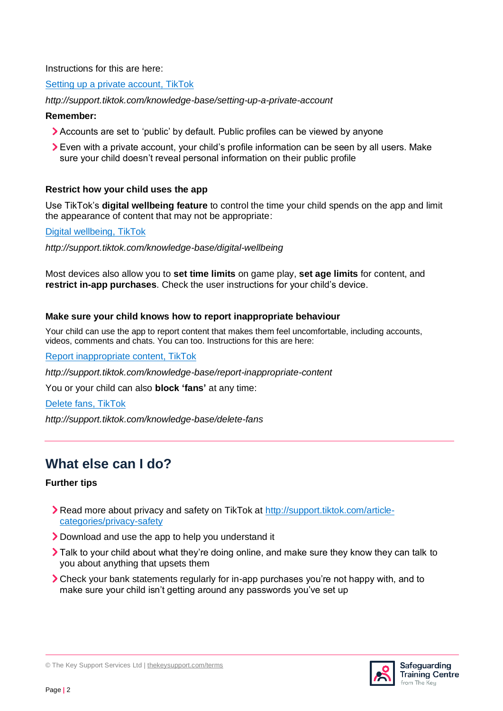Instructions for this are here:

#### [Setting up a private account, TikTok](http://support.tiktok.com/knowledge-base/setting-up-a-private-account)

*<http://support.tiktok.com/knowledge-base/setting-up-a-private-account>*

#### **Remember:**

- Accounts are set to 'public' by default. Public profiles can be viewed by anyone
- Even with a private account, your child's profile information can be seen by all users. Make sure your child doesn't reveal personal information on their public profile

### **Restrict how your child uses the app**

Use TikTok's **digital wellbeing feature** to control the time your child spends on the app and limit the appearance of content that may not be appropriate:

# [Digital wellbeing, TikTok](http://support.tiktok.com/knowledge-base/digital-wellbeing)

*http://support.tiktok.com/knowledge-base/digital-wellbeing*

Most devices also allow you to **set time limits** on game play, **set age limits** for content, and **restrict in-app purchases**. Check the user instructions for your child's device.

### **Make sure your child knows how to report inappropriate behaviour**

Your child can use the app to report content that makes them feel uncomfortable, including accounts, videos, comments and chats. You can too. Instructions for this are here:

#### [Report inappropriate content, TikTok](http://support.tiktok.com/knowledge-base/report-inappropriate-content)

*http://support.tiktok.com/knowledge-base/report-inappropriate-content*

You or your child can also **block 'fans'** at any time:

[Delete fans, TikTok](http://support.tiktok.com/knowledge-base/delete-fans)

*http://support.tiktok.com/knowledge-base/delete-fans*

# **What else can I do?**

# **Further tips**

- Read more about privacy and safety on TikTok at [http://support.tiktok.com/article](http://support.tiktok.com/article-categories/privacy-safety)[categories/privacy-safety](http://support.tiktok.com/article-categories/privacy-safety)
- Download and use the app to help you understand it
- Talk to your child about what they're doing online, and make sure they know they can talk to you about anything that upsets them
- Check your bank statements regularly for in-app purchases you're not happy with, and to make sure your child isn't getting around any passwords you've set up



<sup>©</sup> The Key Support Services Ltd | [thekeysupport.com/terms](https://thekeysupport.com/terms-of-use)